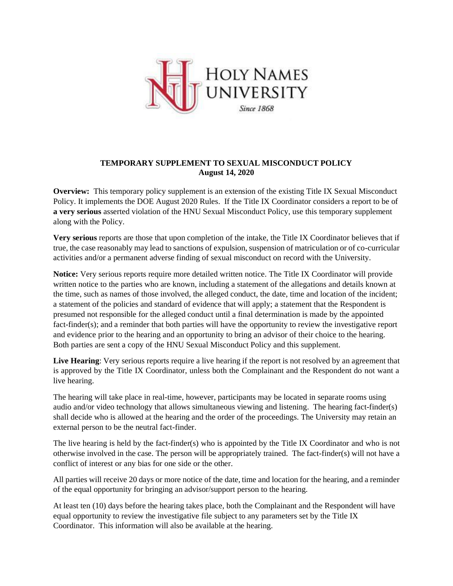

## **TEMPORARY SUPPLEMENT TO SEXUAL MISCONDUCT POLICY August 14, 2020**

**Overview:** This temporary policy supplement is an extension of the existing Title IX Sexual Misconduct Policy. It implements the DOE August 2020 Rules. If the Title IX Coordinator considers a report to be of **a very serious** asserted violation of the HNU Sexual Misconduct Policy, use this temporary supplement along with the Policy.

**Very serious** reports are those that upon completion of the intake, the Title IX Coordinator believes that if true, the case reasonably may lead to sanctions of expulsion, suspension of matriculation or of co-curricular activities and/or a permanent adverse finding of sexual misconduct on record with the University.

**Notice:** Very serious reports require more detailed written notice. The Title IX Coordinator will provide written notice to the parties who are known, including a statement of the allegations and details known at the time, such as names of those involved, the alleged conduct, the date, time and location of the incident; a statement of the policies and standard of evidence that will apply; a statement that the Respondent is presumed not responsible for the alleged conduct until a final determination is made by the appointed fact-finder(s); and a reminder that both parties will have the opportunity to review the investigative report and evidence prior to the hearing and an opportunity to bring an advisor of their choice to the hearing. Both parties are sent a copy of the HNU Sexual Misconduct Policy and this supplement.

Live Hearing: Very serious reports require a live hearing if the report is not resolved by an agreement that is approved by the Title IX Coordinator, unless both the Complainant and the Respondent do not want a live hearing.

The hearing will take place in real-time, however, participants may be located in separate rooms using audio and/or video technology that allows simultaneous viewing and listening. The hearing fact-finder(s) shall decide who is allowed at the hearing and the order of the proceedings. The University may retain an external person to be the neutral fact-finder.

The live hearing is held by the fact-finder(s) who is appointed by the Title IX Coordinator and who is not otherwise involved in the case. The person will be appropriately trained. The fact-finder(s) will not have a conflict of interest or any bias for one side or the other.

All parties will receive 20 days or more notice of the date, time and location for the hearing, and a reminder of the equal opportunity for bringing an advisor/support person to the hearing.

At least ten (10) days before the hearing takes place, both the Complainant and the Respondent will have equal opportunity to review the investigative file subject to any parameters set by the Title IX Coordinator. This information will also be available at the hearing.